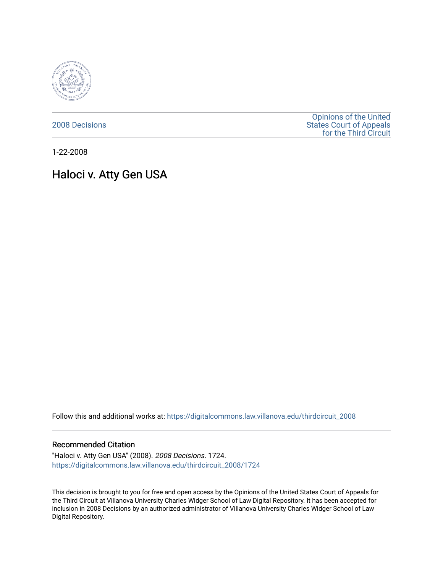

[2008 Decisions](https://digitalcommons.law.villanova.edu/thirdcircuit_2008)

[Opinions of the United](https://digitalcommons.law.villanova.edu/thirdcircuit)  [States Court of Appeals](https://digitalcommons.law.villanova.edu/thirdcircuit)  [for the Third Circuit](https://digitalcommons.law.villanova.edu/thirdcircuit) 

1-22-2008

# Haloci v. Atty Gen USA

Follow this and additional works at: [https://digitalcommons.law.villanova.edu/thirdcircuit\\_2008](https://digitalcommons.law.villanova.edu/thirdcircuit_2008?utm_source=digitalcommons.law.villanova.edu%2Fthirdcircuit_2008%2F1724&utm_medium=PDF&utm_campaign=PDFCoverPages) 

#### Recommended Citation

"Haloci v. Atty Gen USA" (2008). 2008 Decisions. 1724. [https://digitalcommons.law.villanova.edu/thirdcircuit\\_2008/1724](https://digitalcommons.law.villanova.edu/thirdcircuit_2008/1724?utm_source=digitalcommons.law.villanova.edu%2Fthirdcircuit_2008%2F1724&utm_medium=PDF&utm_campaign=PDFCoverPages) 

This decision is brought to you for free and open access by the Opinions of the United States Court of Appeals for the Third Circuit at Villanova University Charles Widger School of Law Digital Repository. It has been accepted for inclusion in 2008 Decisions by an authorized administrator of Villanova University Charles Widger School of Law Digital Repository.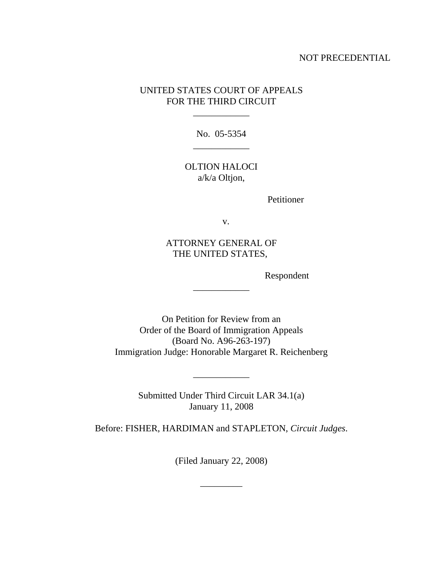## NOT PRECEDENTIAL

# UNITED STATES COURT OF APPEALS FOR THE THIRD CIRCUIT

\_\_\_\_\_\_\_\_\_\_\_\_

No. 05-5354 \_\_\_\_\_\_\_\_\_\_\_\_

OLTION HALOCI a/k/a Oltjon,

Petitioner

v.

ATTORNEY GENERAL OF THE UNITED STATES,

\_\_\_\_\_\_\_\_\_\_\_\_

Respondent

On Petition for Review from an Order of the Board of Immigration Appeals (Board No. A96-263-197) Immigration Judge: Honorable Margaret R. Reichenberg

> Submitted Under Third Circuit LAR 34.1(a) January 11, 2008

\_\_\_\_\_\_\_\_\_\_\_\_

Before: FISHER, HARDIMAN and STAPLETON, *Circuit Judges*.

(Filed January 22, 2008)

\_\_\_\_\_\_\_\_\_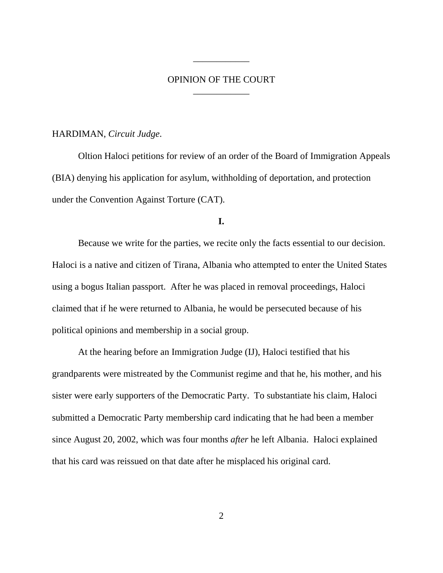# OPINION OF THE COURT \_\_\_\_\_\_\_\_\_\_\_\_

\_\_\_\_\_\_\_\_\_\_\_\_

#### HARDIMAN, *Circuit Judge*.

Oltion Haloci petitions for review of an order of the Board of Immigration Appeals (BIA) denying his application for asylum, withholding of deportation, and protection under the Convention Against Torture (CAT).

### **I.**

Because we write for the parties, we recite only the facts essential to our decision. Haloci is a native and citizen of Tirana, Albania who attempted to enter the United States using a bogus Italian passport. After he was placed in removal proceedings, Haloci claimed that if he were returned to Albania, he would be persecuted because of his political opinions and membership in a social group.

At the hearing before an Immigration Judge (IJ), Haloci testified that his grandparents were mistreated by the Communist regime and that he, his mother, and his sister were early supporters of the Democratic Party. To substantiate his claim, Haloci submitted a Democratic Party membership card indicating that he had been a member since August 20, 2002, which was four months *after* he left Albania. Haloci explained that his card was reissued on that date after he misplaced his original card.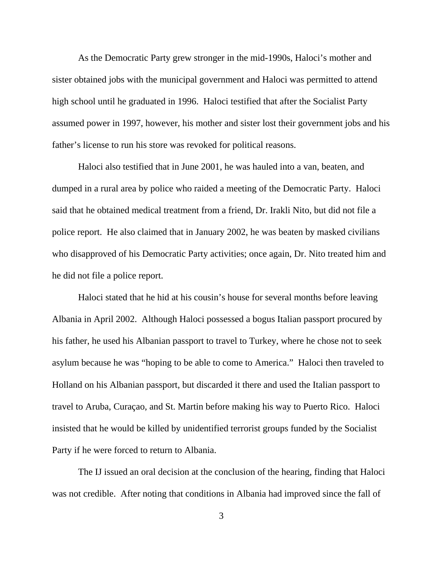As the Democratic Party grew stronger in the mid-1990s, Haloci's mother and sister obtained jobs with the municipal government and Haloci was permitted to attend high school until he graduated in 1996. Haloci testified that after the Socialist Party assumed power in 1997, however, his mother and sister lost their government jobs and his father's license to run his store was revoked for political reasons.

Haloci also testified that in June 2001, he was hauled into a van, beaten, and dumped in a rural area by police who raided a meeting of the Democratic Party. Haloci said that he obtained medical treatment from a friend, Dr. Irakli Nito, but did not file a police report. He also claimed that in January 2002, he was beaten by masked civilians who disapproved of his Democratic Party activities; once again, Dr. Nito treated him and he did not file a police report.

Haloci stated that he hid at his cousin's house for several months before leaving Albania in April 2002. Although Haloci possessed a bogus Italian passport procured by his father, he used his Albanian passport to travel to Turkey, where he chose not to seek asylum because he was "hoping to be able to come to America." Haloci then traveled to Holland on his Albanian passport, but discarded it there and used the Italian passport to travel to Aruba, Curaçao, and St. Martin before making his way to Puerto Rico. Haloci insisted that he would be killed by unidentified terrorist groups funded by the Socialist Party if he were forced to return to Albania.

The IJ issued an oral decision at the conclusion of the hearing, finding that Haloci was not credible. After noting that conditions in Albania had improved since the fall of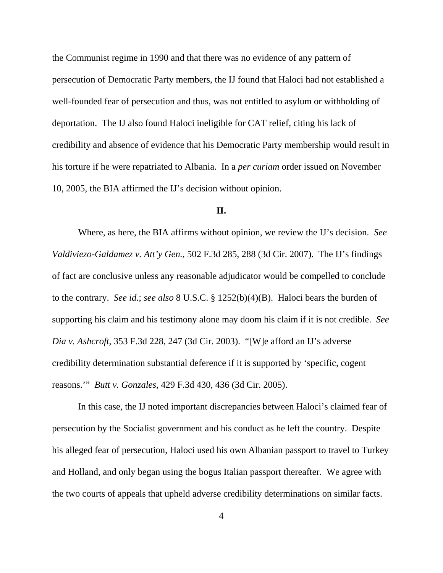the Communist regime in 1990 and that there was no evidence of any pattern of persecution of Democratic Party members, the IJ found that Haloci had not established a well-founded fear of persecution and thus, was not entitled to asylum or withholding of deportation. The IJ also found Haloci ineligible for CAT relief, citing his lack of credibility and absence of evidence that his Democratic Party membership would result in his torture if he were repatriated to Albania. In a *per curiam* order issued on November 10, 2005, the BIA affirmed the IJ's decision without opinion.

#### **II.**

Where, as here, the BIA affirms without opinion, we review the IJ's decision. *See Valdiviezo-Galdamez v. Att'y Gen.,* 502 F.3d 285, 288 (3d Cir. 2007). The IJ's findings of fact are conclusive unless any reasonable adjudicator would be compelled to conclude to the contrary. *See id.*; *see also* 8 U.S.C. § 1252(b)(4)(B). Haloci bears the burden of supporting his claim and his testimony alone may doom his claim if it is not credible. *See Dia v. Ashcroft*, 353 F.3d 228, 247 (3d Cir. 2003). "[W]e afford an IJ's adverse credibility determination substantial deference if it is supported by 'specific, cogent reasons.'" *Butt v. Gonzales,* 429 F.3d 430, 436 (3d Cir. 2005).

In this case, the IJ noted important discrepancies between Haloci's claimed fear of persecution by the Socialist government and his conduct as he left the country. Despite his alleged fear of persecution, Haloci used his own Albanian passport to travel to Turkey and Holland, and only began using the bogus Italian passport thereafter. We agree with the two courts of appeals that upheld adverse credibility determinations on similar facts.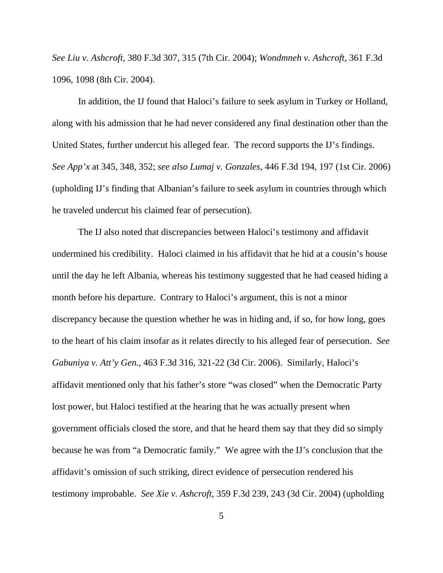*See Liu v. Ashcroft,* 380 F.3d 307, 315 (7th Cir. 2004); *Wondmneh v. Ashcroft,* 361 F.3d 1096, 1098 (8th Cir. 2004).

In addition, the IJ found that Haloci's failure to seek asylum in Turkey or Holland, along with his admission that he had never considered any final destination other than the United States, further undercut his alleged fear. The record supports the IJ's findings. *See App'x* at 345, 348, 352; *see also Lumaj v. Gonzales,* 446 F.3d 194, 197 (1st Cir. 2006) (upholding IJ's finding that Albanian's failure to seek asylum in countries through which he traveled undercut his claimed fear of persecution).

The IJ also noted that discrepancies between Haloci's testimony and affidavit undermined his credibility. Haloci claimed in his affidavit that he hid at a cousin's house until the day he left Albania, whereas his testimony suggested that he had ceased hiding a month before his departure. Contrary to Haloci's argument, this is not a minor discrepancy because the question whether he was in hiding and, if so, for how long, goes to the heart of his claim insofar as it relates directly to his alleged fear of persecution. *See Gabuniya v. Att'y Gen.*, 463 F.3d 316, 321-22 (3d Cir. 2006). Similarly, Haloci's affidavit mentioned only that his father's store "was closed" when the Democratic Party lost power, but Haloci testified at the hearing that he was actually present when government officials closed the store, and that he heard them say that they did so simply because he was from "a Democratic family." We agree with the IJ's conclusion that the affidavit's omission of such striking, direct evidence of persecution rendered his testimony improbable. *See Xie v. Ashcroft,* 359 F.3d 239, 243 (3d Cir. 2004) (upholding